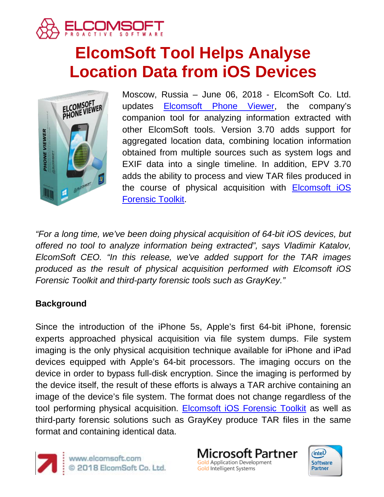

# **ElcomSoft Tool Helps Analyse Location Data from iOS Devices**



Moscow, Russia – June 06, 2018 - ElcomSoft Co. Ltd. updates [Elcomsoft Phone Viewer,](https://www.elcomsoft.com/epv.html) the company's companion tool for analyzing information extracted with other ElcomSoft tools. Version 3.70 adds support for aggregated location data, combining location information obtained from multiple sources such as system logs and EXIF data into a single timeline. In addition, EPV 3.70 adds the ability to process and view TAR files produced in the course of physical acquisition with [Elcomsoft iOS](https://www.elcomsoft.com/eift.html)  [Forensic Toolkit.](https://www.elcomsoft.com/eift.html)

*"For a long time, we've been doing physical acquisition of 64-bit iOS devices, but offered no tool to analyze information being extracted", says Vladimir Katalov, ElcomSoft CEO. "In this release, we've added support for the TAR images produced as the result of physical acquisition performed with Elcomsoft iOS Forensic Toolkit and third-party forensic tools such as GrayKey."*

## **Background**

Since the introduction of the iPhone 5s, Apple's first 64-bit iPhone, forensic experts approached physical acquisition via file system dumps. File system imaging is the only physical acquisition technique available for iPhone and iPad devices equipped with Apple's 64-bit processors. The imaging occurs on the device in order to bypass full-disk encryption. Since the imaging is performed by the device itself, the result of these efforts is always a TAR archive containing an image of the device's file system. The format does not change regardless of the tool performing physical acquisition. [Elcomsoft iOS Forensic Toolkit](https://www.elcomsoft.com/eift.html) as well as third-party forensic solutions such as GrayKey produce TAR files in the same format and containing identical data.



www.elcomsoft.com<br>© 2018 ElcomSoft Co. Ltd.

licrosoft Partner **Gold Application Development** Gold Intelligent Systems

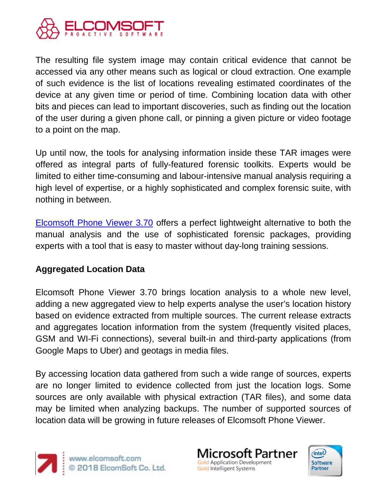

The resulting file system image may contain critical evidence that cannot be accessed via any other means such as logical or cloud extraction. One example of such evidence is the list of locations revealing estimated coordinates of the device at any given time or period of time. Combining location data with other bits and pieces can lead to important discoveries, such as finding out the location of the user during a given phone call, or pinning a given picture or video footage to a point on the map.

Up until now, the tools for analysing information inside these TAR images were offered as integral parts of fully-featured forensic toolkits. Experts would be limited to either time-consuming and labour-intensive manual analysis requiring a high level of expertise, or a highly sophisticated and complex forensic suite, with nothing in between.

[Elcomsoft Phone Viewer 3.70](https://www.elcomsoft.com/epv.html) offers a perfect lightweight alternative to both the manual analysis and the use of sophisticated forensic packages, providing experts with a tool that is easy to master without day-long training sessions.

## **Aggregated Location Data**

Elcomsoft Phone Viewer 3.70 brings location analysis to a whole new level, adding a new aggregated view to help experts analyse the user's location history based on evidence extracted from multiple sources. The current release extracts and aggregates location information from the system (frequently visited places, GSM and WI-Fi connections), several built-in and third-party applications (from Google Maps to Uber) and geotags in media files.

By accessing location data gathered from such a wide range of sources, experts are no longer limited to evidence collected from just the location logs. Some sources are only available with physical extraction (TAR files), and some data may be limited when analyzing backups. The number of supported sources of location data will be growing in future releases of Elcomsoft Phone Viewer.



icrosoft Partner **Gold Application Development** Gold Intelligent Systems